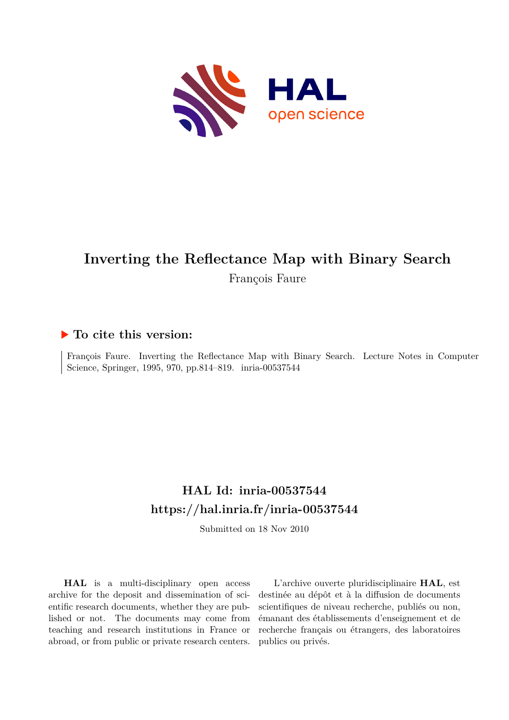

# **Inverting the Reflectance Map with Binary Search** François Faure

## **To cite this version:**

François Faure. Inverting the Reflectance Map with Binary Search. Lecture Notes in Computer Science, Springer, 1995, 970, pp.814-819. inria-00537544

# **HAL Id: inria-00537544 <https://hal.inria.fr/inria-00537544>**

Submitted on 18 Nov 2010

**HAL** is a multi-disciplinary open access archive for the deposit and dissemination of scientific research documents, whether they are published or not. The documents may come from teaching and research institutions in France or abroad, or from public or private research centers.

L'archive ouverte pluridisciplinaire **HAL**, est destinée au dépôt et à la diffusion de documents scientifiques de niveau recherche, publiés ou non, émanant des établissements d'enseignement et de recherche français ou étrangers, des laboratoires publics ou privés.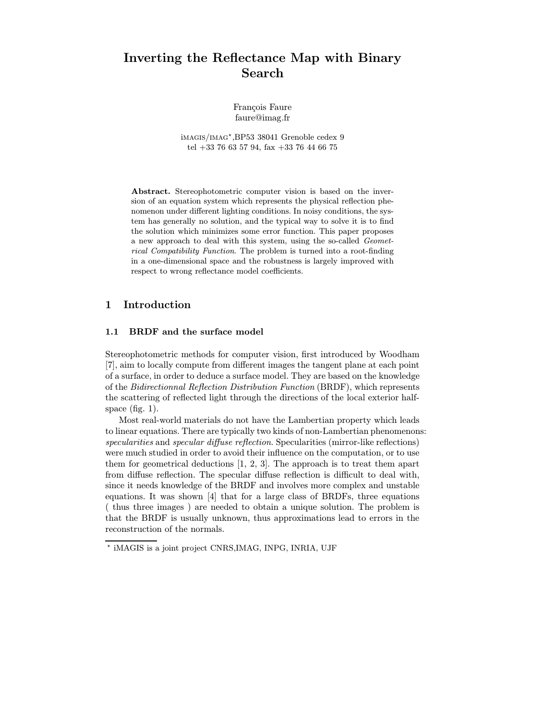# Inverting the Reflectance Map with Binary Search

Francois Faure faure@imag.fr

imagis/imag ? ,BP53 38041 Grenoble cedex 9 tel +33 76 63 57 94, fax +33 76 44 66 75

Abstract. Stereophotometric computer vision is based on the inversion of an equation system which represents the physical reflection phenomenon under different lighting conditions. In noisy conditions, the system has generally no solution, and the typical way to solve it is to find the solution which minimizes some error function. This paper proposes a new approach to deal with this system, using the so-called Geometrical Compatibility Function. The problem is turned into a root-finding in a one-dimensional space and the robustness is largely improved with respect to wrong reflectance model coefficients.

### 1 Introduction

#### 1.1 BRDF and the surface model

Stereophotometric methods for computer vision, first introduced by Woodham [7], aim to locally compute from different images the tangent plane at each point of a surface, in order to deduce a surface model. They are based on the knowledge of the Bidirectionnal Reflection Distribution Function (BRDF), which represents the scattering of reflected light through the directions of the local exterior halfspace (fig.  $1$ ).

Most real-world materials do not have the Lambertian property which leads to linear equations. There are typically two kinds of non-Lambertian phenomenons: specularities and specular diffuse reflection. Specularities (mirror-like reflections) were much studied in order to avoid their influence on the computation, or to use them for geometrical deductions [1, 2, 3]. The approach is to treat them apart from diffuse reflection. The specular diffuse reflection is difficult to deal with, since it needs knowledge of the BRDF and involves more complex and unstable equations. It was shown [4] that for a large class of BRDFs, three equations ( thus three images ) are needed to obtain a unique solution. The problem is that the BRDF is usually unknown, thus approximations lead to errors in the reconstruction of the normals.

<sup>?</sup> iMAGIS is a joint project CNRS,IMAG, INPG, INRIA, UJF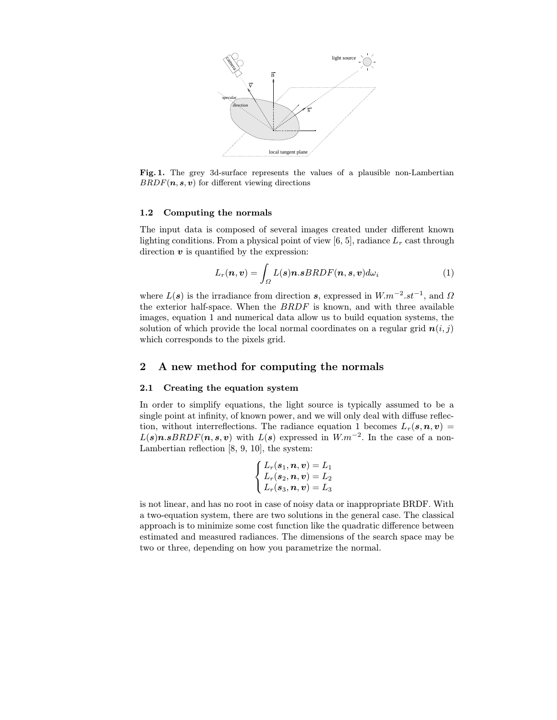

Fig. 1. The grey 3d-surface represents the values of a plausible non-Lambertian  $BRDF(n, s, v)$  for different viewing directions

#### 1.2 Computing the normals

The input data is composed of several images created under different known lighting conditions. From a physical point of view [6, 5], radiance  $L_r$  cast through direction  $\boldsymbol{v}$  is quantified by the expression:

$$
L_r(\boldsymbol{n},\boldsymbol{v}) = \int_{\Omega} L(\boldsymbol{s}) \boldsymbol{n}.\boldsymbol{s} BRDF(\boldsymbol{n},\boldsymbol{s},\boldsymbol{v}) d\omega_i \tag{1}
$$

where  $L(s)$  is the irradiance from direction s, expressed in  $W.m^{-2}.st^{-1}$ , and  $\Omega$ the exterior half-space. When the BRDF is known, and with three available images, equation 1 and numerical data allow us to build equation systems, the solution of which provide the local normal coordinates on a regular grid  $n(i, j)$ which corresponds to the pixels grid.

#### 2 A new method for computing the normals

#### 2.1 Creating the equation system

In order to simplify equations, the light source is typically assumed to be a single point at infinity, of known power, and we will only deal with diffuse reflection, without interreflections. The radiance equation 1 becomes  $L_r(s,n,v)$  =  $L(s)n.sBRDF(n, s, v)$  with  $L(s)$  expressed in  $W.m^{-2}$ . In the case of a non-Lambertian reflection [8, 9, 10], the system:

$$
\left\{\begin{matrix}L_r(\boldsymbol{s}_1,\boldsymbol{n},\boldsymbol{v})=L_1\\L_r(\boldsymbol{s}_2,\boldsymbol{n},\boldsymbol{v})=L_2\\L_r(\boldsymbol{s}_3,\boldsymbol{n},\boldsymbol{v})=L_3\end{matrix}\right.
$$

is not linear, and has no root in case of noisy data or inappropriate BRDF. With a two-equation system, there are two solutions in the general case. The classical approach is to minimize some cost function like the quadratic difference between estimated and measured radiances. The dimensions of the search space may be two or three, depending on how you parametrize the normal.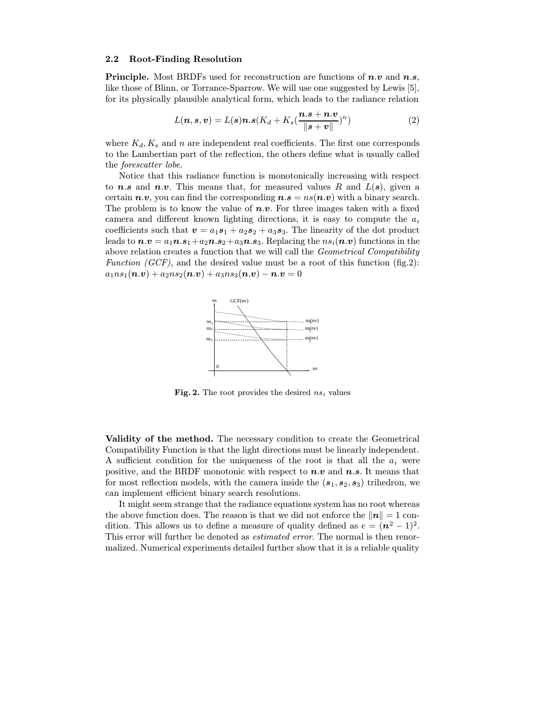#### 2.2 Root-Finding Resolution

**Principle.** Most BRDFs used for reconstruction are functions of  $n.v$  and  $n.s$ , like those of Blinn, or Torrance-Sparrow. We will use one suggested by Lewis [5], for its physically plausible analytical form, which leads to the radiance relation

$$
L(n, s, v) = L(s)n.s(K_d + K_s(\frac{n.s + n.v}{\|s + v\|})^n)
$$
\n(2)

where  $K_d, K_s$  and n are independent real coefficients. The first one corresponds to the Lambertian part of the reflection, the others define what is usually called the forescatter lobe.

Notice that this radiance function is monotonically increasing with respect to **n.s** and **n.v.** This means that, for measured values R and  $L(s)$ , given a certain  $n.v$ , you can find the corresponding  $n.s = ns(n.v)$  with a binary search. The problem is to know the value of  $n.v$ . For three images taken with a fixed camera and different known lighting directions, it is easy to compute the  $a_i$ coefficients such that  $\mathbf{v} = a_1 s_1 + a_2 s_2 + a_3 s_3$ . The linearity of the dot product leads to  $n.v = a_1 n.s_1 + a_2 n.s_2 + a_3 n.s_3$ . Replacing the  $ns_i(n.v)$  functions in the above relation creates a function that we will call the Geometrical Compatibility Function (GCF), and the desired value must be a root of this function (fig.2):  $a_1ns_1(\boldsymbol{n}.\boldsymbol{v}) + a_2ns_2(\boldsymbol{n}.\boldsymbol{v}) + a_3ns_3(\boldsymbol{n}.\boldsymbol{v}) - \boldsymbol{n}.\boldsymbol{v} = 0$ 



Fig. 2. The root provides the desired  $ns_i$  values

Validity of the method. The necessary condition to create the Geometrical Compatibility Function is that the light directions must be linearly independent. A sufficient condition for the uniqueness of the root is that all the  $a_i$  were positive, and the BRDF monotonic with respect to  $n.v$  and  $n.s$ . It means that for most reflection models, with the camera inside the  $(s_1, s_2, s_3)$  trihedron, we can implement efficient binary search resolutions.

It might seem strange that the radiance equations system has no root whereas the above function does. The reason is that we did not enforce the  $\|\mathbf{n}\| = 1$  condition. This allows us to define a measure of quality defined as  $e = (n^2 - 1)^2$ . This error will further be denoted as *estimated error*. The normal is then renormalized. Numerical experiments detailed further show that it is a reliable quality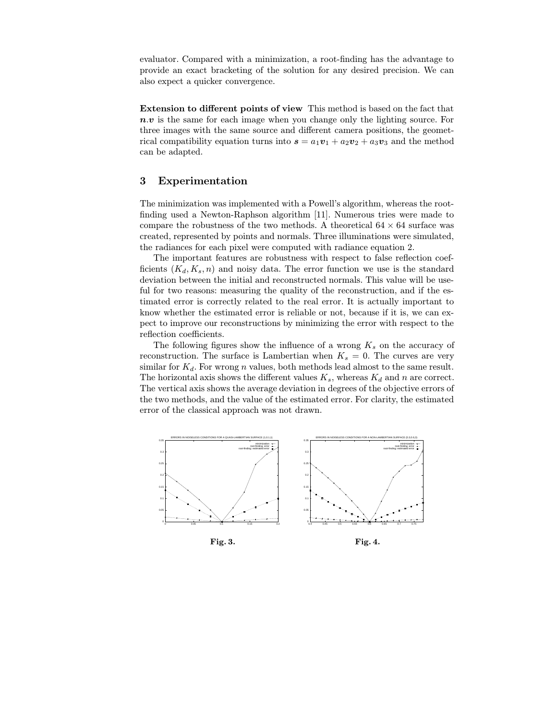evaluator. Compared with a minimization, a root-finding has the advantage to provide an exact bracketing of the solution for any desired precision. We can also expect a quicker convergence.

Extension to different points of view This method is based on the fact that  $n.v$  is the same for each image when you change only the lighting source. For three images with the same source and different camera positions, the geometrical compatibility equation turns into  $s = a_1v_1 + a_2v_2 + a_3v_3$  and the method can be adapted.

#### 3 Experimentation

The minimization was implemented with a Powell's algorithm, whereas the rootfinding used a Newton-Raphson algorithm [11]. Numerous tries were made to compare the robustness of the two methods. A theoretical  $64 \times 64$  surface was created, represented by points and normals. Three illuminations were simulated, the radiances for each pixel were computed with radiance equation 2.

The important features are robustness with respect to false reflection coefficients  $(K_d, K_s, n)$  and noisy data. The error function we use is the standard deviation between the initial and reconstructed normals. This value will be useful for two reasons: measuring the quality of the reconstruction, and if the estimated error is correctly related to the real error. It is actually important to know whether the estimated error is reliable or not, because if it is, we can expect to improve our reconstructions by minimizing the error with respect to the reflection coefficients.

The following figures show the influence of a wrong  $K_s$  on the accuracy of reconstruction. The surface is Lambertian when  $K_s = 0$ . The curves are very similar for  $K_d$ . For wrong n values, both methods lead almost to the same result. The horizontal axis shows the different values  $K_s$ , whereas  $K_d$  and n are correct. The vertical axis shows the average deviation in degrees of the objective errors of the two methods, and the value of the estimated error. For clarity, the estimated error of the classical approach was not drawn.



Fig. 3.

Fig. 4.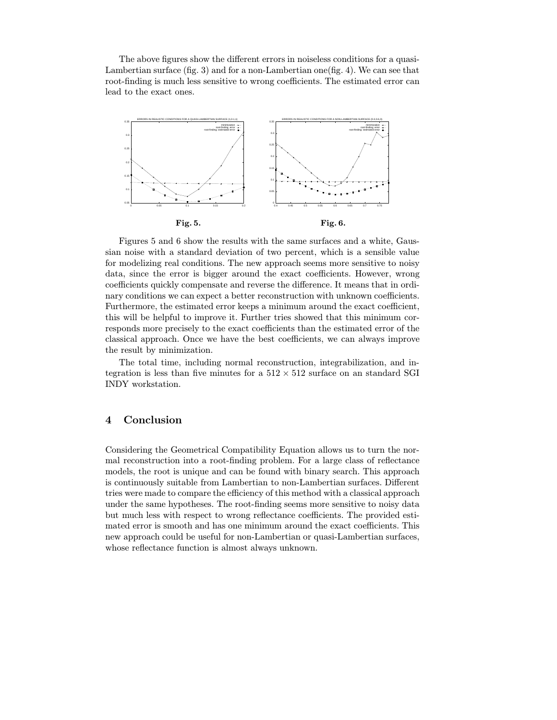The above figures show the different errors in noiseless conditions for a quasi-Lambertian surface (fig. 3) and for a non-Lambertian one(fig. 4). We can see that root-finding is much less sensitive to wrong coefficients. The estimated error can lead to the exact ones.



Figures 5 and 6 show the results with the same surfaces and a white, Gaussian noise with a standard deviation of two percent, which is a sensible value for modelizing real conditions. The new approach seems more sensitive to noisy data, since the error is bigger around the exact coefficients. However, wrong coefficients quickly compensate and reverse the difference. It means that in ordinary conditions we can expect a better reconstruction with unknown coefficients. Furthermore, the estimated error keeps a minimum around the exact coefficient, this will be helpful to improve it. Further tries showed that this minimum corresponds more precisely to the exact coefficients than the estimated error of the classical approach. Once we have the best coefficients, we can always improve the result by minimization.

The total time, including normal reconstruction, integrabilization, and integration is less than five minutes for a  $512 \times 512$  surface on an standard SGI INDY workstation.

## 4 Conclusion

Considering the Geometrical Compatibility Equation allows us to turn the normal reconstruction into a root-finding problem. For a large class of reflectance models, the root is unique and can be found with binary search. This approach is continuously suitable from Lambertian to non-Lambertian surfaces. Different tries were made to compare the efficiency of this method with a classical approach under the same hypotheses. The root-finding seems more sensitive to noisy data but much less with respect to wrong reflectance coefficients. The provided estimated error is smooth and has one minimum around the exact coefficients. This new approach could be useful for non-Lambertian or quasi-Lambertian surfaces, whose reflectance function is almost always unknown.